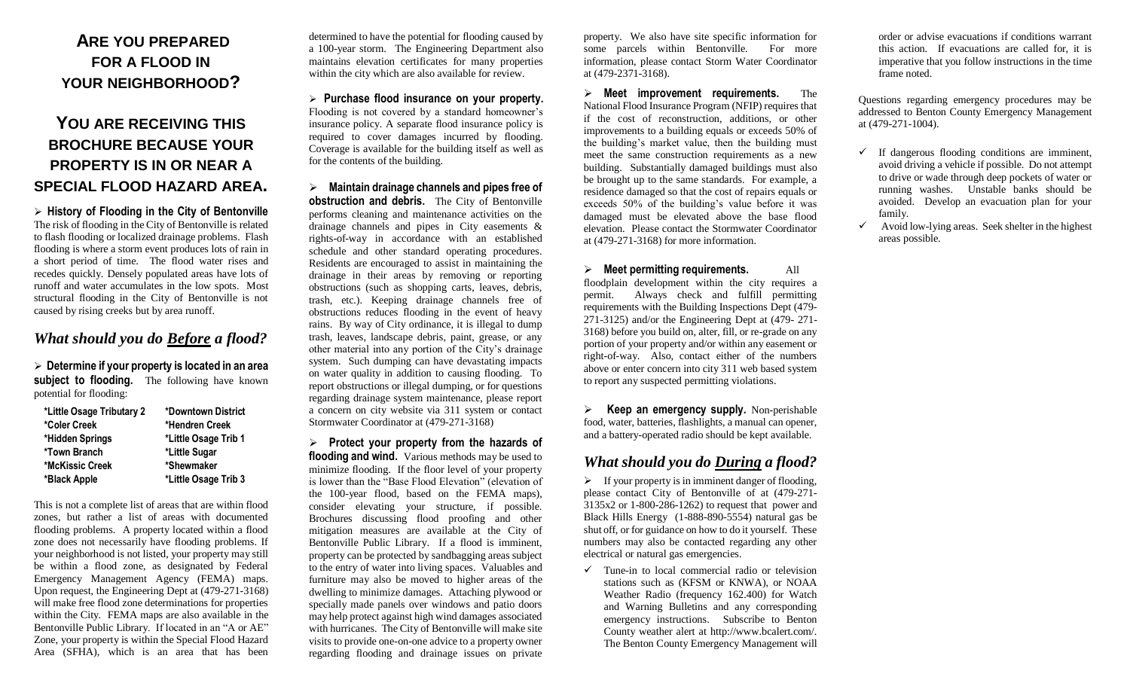# **ARE YOU PREPARED FOR A FLOOD IN YOUR NEIGHBORHOOD?**

# **YOU ARE RECEIVING THIS BROCHURE BECAUSE YOUR PROPERTY IS IN OR NEAR A SPECIAL FLOOD HAZARD AREA.**

 **History of Flooding in the City of Bentonville**  The risk of flooding in the City of Bentonville is related to flash flooding or localized drainage problems. Flash flooding is where a storm event produces lots of rain in a short period of time. The flood water rises and recedes quickly. Densely populated areas have lots of runoff and water accumulates in the low spots. Most structural flooding in the City of Bentonville is not caused by rising creeks but by area runoff.

#### *What should you do Before a flood?*

 **Determine if your property is located in an area subject to flooding.** The following have known potential for flooding:

| *Little Osage Tributary 2 | *Downtown District   |
|---------------------------|----------------------|
| *Coler Creek              | *Hendren Creek       |
| *Hidden Springs           | *Little Osage Trib 1 |
| *Town Branch              | *Little Sugar        |
| *McKissic Creek           | *Shewmaker           |
| *Black Apple              | *Little Osage Trib 3 |

This is not a complete list of areas that are within flood zones, but rather a list of areas with documented flooding problems. A property located within a flood zone does not necessarily have flooding problems. If your neighborhood is not listed, your property may still be within a flood zone, as designated by Federal Emergency Management Agency (FEMA) maps. Upon request, the Engineering Dept at (479-271-3168) will make free flood zone determinations for properties within the City. FEMA maps are also available in the Bentonville Public Library. If located in an "A or AE" Zone, your property is within the Special Flood Hazard Area (SFHA), which is an area that has been

determined to have the potential for flooding caused by a 100-year storm. The Engineering Department also maintains elevation certificates for many properties within the city which are also available for review.

 **Purchase flood insurance on your property.** Flooding is not covered by a standard homeowner's insurance policy. A separate flood insurance policy is required to cover damages incurred by flooding. Coverage is available for the building itself as well as for the contents of the building.

 **Maintain drainage channels and pipes free of obstruction and debris.** The City of Bentonville performs cleaning and maintenance activities on the drainage channels and pipes in City easements & rights-of-way in accordance with an established schedule and other standard operating procedures. Residents are encouraged to assist in maintaining the drainage in their areas by removing or reporting obstructions (such as shopping carts, leaves, debris, trash, etc.). Keeping drainage channels free of obstructions reduces flooding in the event of heavy rains. By way of City ordinance, it is illegal to dump trash, leaves, landscape debris, paint, grease, or any other material into any portion of the City's drainage system. Such dumping can have devastating impacts on water quality in addition to causing flooding. To report obstructions or illegal dumping, or for questions regarding drainage system maintenance, please report a concern on city website via 311 system or contact Stormwater Coordinator at (479-271-3168)

 **Protect your property from the hazards of flooding and wind.** Various methods may be used to minimize flooding. If the floor level of your property is lower than the "Base Flood Elevation" (elevation of the 100-year flood, based on the FEMA maps), consider elevating your structure, if possible. Brochures discussing flood proofing and other mitigation measures are available at the City of Bentonville Public Library. If a flood is imminent, property can be protected by sandbagging areas subject to the entry of water into living spaces. Valuables and furniture may also be moved to higher areas of the dwelling to minimize damages. Attaching plywood or specially made panels over windows and patio doors may help protect against high wind damages associated with hurricanes. The City of Bentonville will make site visits to provide one-on-one advice to a property owner regarding flooding and drainage issues on private

property. We also have site specific information for some parcels within Bentonville. For more information, please contact Storm Water Coordinator at (479-2371-3168).

 **Meet improvement requirements.** The National Flood Insurance Program (NFIP) requires that if the cost of reconstruction, additions, or other improvements to a building equals or exceeds 50% of the building's market value, then the building must meet the same construction requirements as a new building. Substantially damaged buildings must also be brought up to the same standards. For example, a residence damaged so that the cost of repairs equals or exceeds 50% of the building's value before it was damaged must be elevated above the base flood elevation. Please contact the Stormwater Coordinator at (479-271-3168) for more information.

 **Meet permitting requirements.** All floodplain development within the city requires a permit. Always check and fulfill permitting requirements with the Building Inspections Dept (479- 271-3125) and/or the Engineering Dept at (479- 271- 3168) before you build on, alter, fill, or re-grade on any portion of your property and/or within any easement or right-of-way. Also, contact either of the numbers above or enter concern into city 311 web based system to report any suspected permitting violations.

 **Keep an emergency supply.** Non-perishable food, water, batteries, flashlights, a manual can opener, and a battery-operated radio should be kept available.

### *What should you do During a flood?*

 $\triangleright$  If your property is in imminent danger of flooding, please contact City of Bentonville of at (479-271- 3135x2 or 1-800-286-1262) to request that power and Black Hills Energy (1-888-890-5554) natural gas be shut off, or for guidance on how to do it yourself. These numbers may also be contacted regarding any other electrical or natural gas emergencies.

 $\checkmark$  Tune-in to local commercial radio or television stations such as (KFSM or KNWA), or NOAA Weather Radio (frequency 162.400) for Watch and Warning Bulletins and any corresponding emergency instructions. Subscribe to Benton County weather alert at http://www.bcalert.com/. The Benton County Emergency Management will

order or advise evacuations if conditions warrant this action. If evacuations are called for, it is imperative that you follow instructions in the time frame noted.

Questions regarding emergency procedures may be addressed to Benton County Emergency Management at (479-271-1004).

- $\checkmark$  If dangerous flooding conditions are imminent, avoid driving a vehicle if possible. Do not attempt to drive or wade through deep pockets of water or running washes. Unstable banks should be avoided. Develop an evacuation plan for your family.
- $\checkmark$  Avoid low-lying areas. Seek shelter in the highest areas possible.